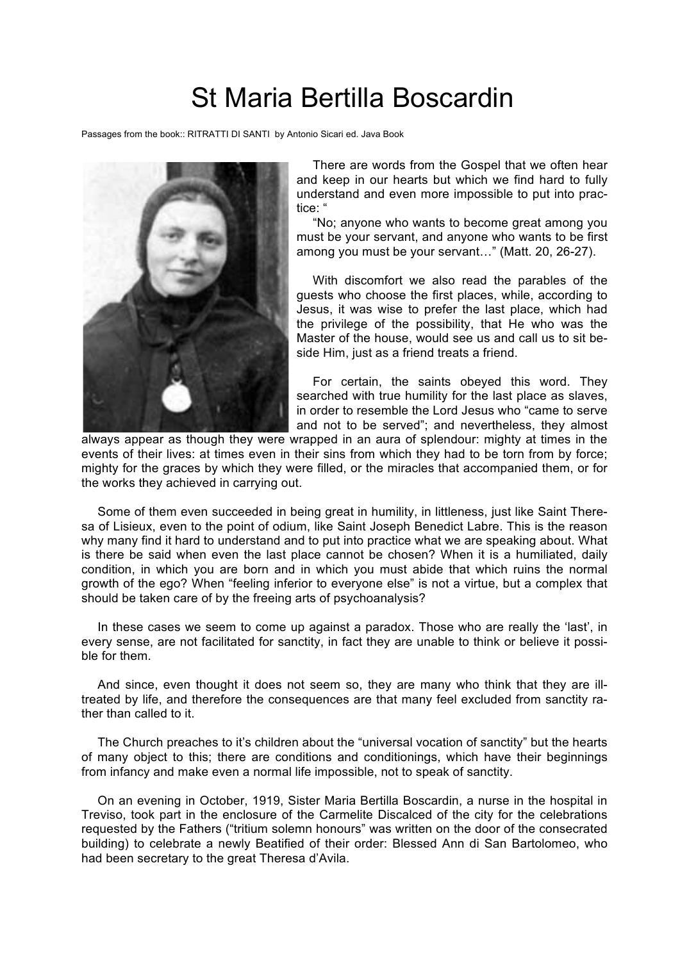## St Maria Bertilla Boscardin

Passages from the book:: RITRATTI DI SANTI by Antonio Sicari ed. Java Book



There are words from the Gospel that we often hear and keep in our hearts but which we find hard to fully understand and even more impossible to put into practice: "

"No; anyone who wants to become great among you must be your servant, and anyone who wants to be first among you must be your servant…" (Matt. 20, 26-27).

With discomfort we also read the parables of the guests who choose the first places, while, according to Jesus, it was wise to prefer the last place, which had the privilege of the possibility, that He who was the Master of the house, would see us and call us to sit beside Him, just as a friend treats a friend.

For certain, the saints obeyed this word. They searched with true humility for the last place as slaves, in order to resemble the Lord Jesus who "came to serve and not to be served"; and nevertheless, they almost

always appear as though they were wrapped in an aura of splendour: mighty at times in the events of their lives: at times even in their sins from which they had to be torn from by force; mighty for the graces by which they were filled, or the miracles that accompanied them, or for the works they achieved in carrying out.

Some of them even succeeded in being great in humility, in littleness, just like Saint Theresa of Lisieux, even to the point of odium, like Saint Joseph Benedict Labre. This is the reason why many find it hard to understand and to put into practice what we are speaking about. What is there be said when even the last place cannot be chosen? When it is a humiliated, daily condition, in which you are born and in which you must abide that which ruins the normal growth of the ego? When "feeling inferior to everyone else" is not a virtue, but a complex that should be taken care of by the freeing arts of psychoanalysis?

In these cases we seem to come up against a paradox. Those who are really the 'last', in every sense, are not facilitated for sanctity, in fact they are unable to think or believe it possible for them.

And since, even thought it does not seem so, they are many who think that they are illtreated by life, and therefore the consequences are that many feel excluded from sanctity rather than called to it.

The Church preaches to it's children about the "universal vocation of sanctity" but the hearts of many object to this; there are conditions and conditionings, which have their beginnings from infancy and make even a normal life impossible, not to speak of sanctity.

On an evening in October, 1919, Sister Maria Bertilla Boscardin, a nurse in the hospital in Treviso, took part in the enclosure of the Carmelite Discalced of the city for the celebrations requested by the Fathers ("tritium solemn honours" was written on the door of the consecrated building) to celebrate a newly Beatified of their order: Blessed Ann di San Bartolomeo, who had been secretary to the great Theresa d'Avila.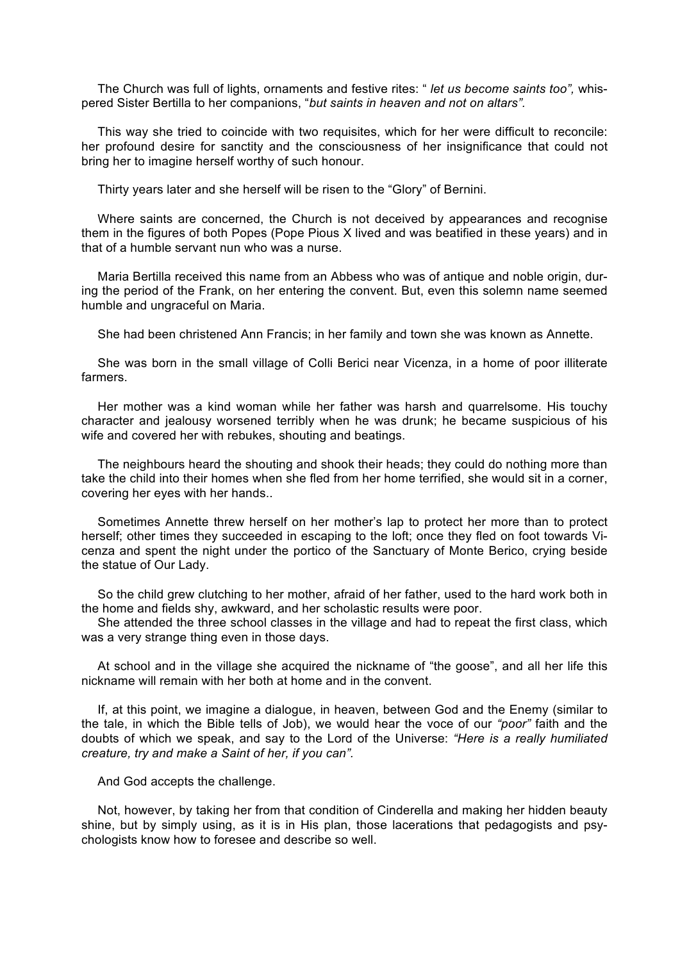The Church was full of lights, ornaments and festive rites: " *let us become saints too",* whispered Sister Bertilla to her companions, "*but saints in heaven and not on altars".*

This way she tried to coincide with two requisites, which for her were difficult to reconcile: her profound desire for sanctity and the consciousness of her insignificance that could not bring her to imagine herself worthy of such honour.

Thirty years later and she herself will be risen to the "Glory" of Bernini.

Where saints are concerned, the Church is not deceived by appearances and recognise them in the figures of both Popes (Pope Pious X lived and was beatified in these years) and in that of a humble servant nun who was a nurse.

Maria Bertilla received this name from an Abbess who was of antique and noble origin, during the period of the Frank, on her entering the convent. But, even this solemn name seemed humble and ungraceful on Maria.

She had been christened Ann Francis; in her family and town she was known as Annette.

She was born in the small village of Colli Berici near Vicenza, in a home of poor illiterate farmers.

Her mother was a kind woman while her father was harsh and quarrelsome. His touchy character and jealousy worsened terribly when he was drunk; he became suspicious of his wife and covered her with rebukes, shouting and beatings.

The neighbours heard the shouting and shook their heads; they could do nothing more than take the child into their homes when she fled from her home terrified, she would sit in a corner, covering her eyes with her hands..

Sometimes Annette threw herself on her mother's lap to protect her more than to protect herself; other times they succeeded in escaping to the loft; once they fled on foot towards Vicenza and spent the night under the portico of the Sanctuary of Monte Berico, crying beside the statue of Our Lady.

So the child grew clutching to her mother, afraid of her father, used to the hard work both in the home and fields shy, awkward, and her scholastic results were poor.

She attended the three school classes in the village and had to repeat the first class, which was a very strange thing even in those days.

At school and in the village she acquired the nickname of "the goose", and all her life this nickname will remain with her both at home and in the convent.

If, at this point, we imagine a dialogue, in heaven, between God and the Enemy (similar to the tale, in which the Bible tells of Job), we would hear the voce of our *"poor"* faith and the doubts of which we speak, and say to the Lord of the Universe: *"Here is a really humiliated creature, try and make a Saint of her, if you can".*

And God accepts the challenge.

Not, however, by taking her from that condition of Cinderella and making her hidden beauty shine, but by simply using, as it is in His plan, those lacerations that pedagogists and psychologists know how to foresee and describe so well.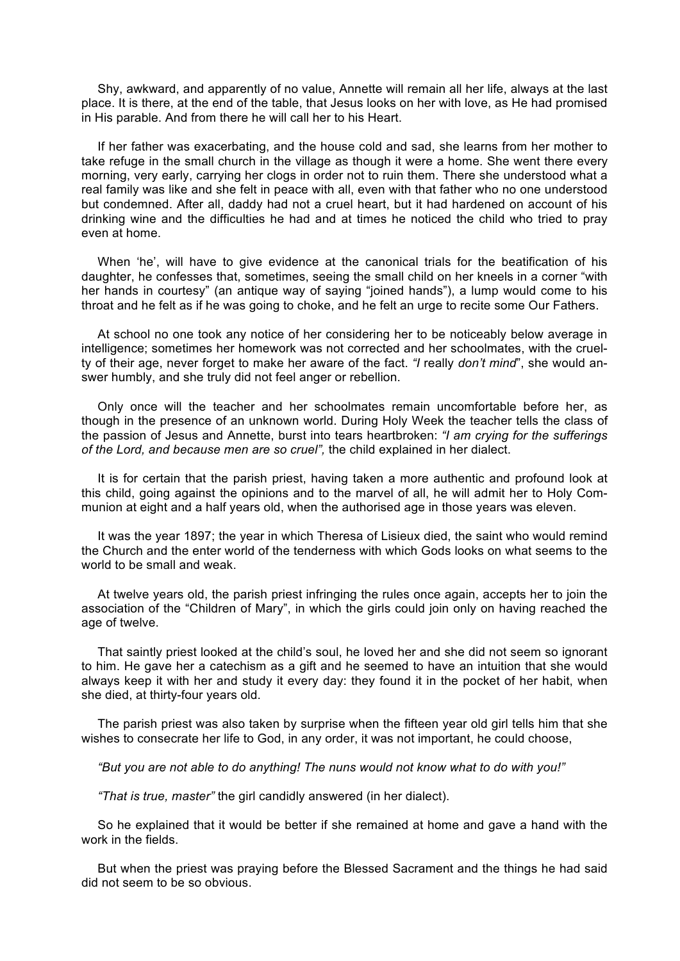Shy, awkward, and apparently of no value, Annette will remain all her life, always at the last place. It is there, at the end of the table, that Jesus looks on her with love, as He had promised in His parable. And from there he will call her to his Heart.

If her father was exacerbating, and the house cold and sad, she learns from her mother to take refuge in the small church in the village as though it were a home. She went there every morning, very early, carrying her clogs in order not to ruin them. There she understood what a real family was like and she felt in peace with all, even with that father who no one understood but condemned. After all, daddy had not a cruel heart, but it had hardened on account of his drinking wine and the difficulties he had and at times he noticed the child who tried to pray even at home.

When 'he', will have to give evidence at the canonical trials for the beatification of his daughter, he confesses that, sometimes, seeing the small child on her kneels in a corner "with her hands in courtesy" (an antique way of saying "joined hands"), a lump would come to his throat and he felt as if he was going to choke, and he felt an urge to recite some Our Fathers.

At school no one took any notice of her considering her to be noticeably below average in intelligence; sometimes her homework was not corrected and her schoolmates, with the cruelty of their age, never forget to make her aware of the fact. *"I* really *don't mind*", she would answer humbly, and she truly did not feel anger or rebellion.

Only once will the teacher and her schoolmates remain uncomfortable before her, as though in the presence of an unknown world. During Holy Week the teacher tells the class of the passion of Jesus and Annette, burst into tears heartbroken: *"I am crying for the sufferings of the Lord, and because men are so cruel",* the child explained in her dialect.

It is for certain that the parish priest, having taken a more authentic and profound look at this child, going against the opinions and to the marvel of all, he will admit her to Holy Communion at eight and a half years old, when the authorised age in those years was eleven.

It was the year 1897; the year in which Theresa of Lisieux died, the saint who would remind the Church and the enter world of the tenderness with which Gods looks on what seems to the world to be small and weak.

At twelve years old, the parish priest infringing the rules once again, accepts her to join the association of the "Children of Mary", in which the girls could join only on having reached the age of twelve.

That saintly priest looked at the child's soul, he loved her and she did not seem so ignorant to him. He gave her a catechism as a gift and he seemed to have an intuition that she would always keep it with her and study it every day: they found it in the pocket of her habit, when she died, at thirty-four years old.

The parish priest was also taken by surprise when the fifteen year old girl tells him that she wishes to consecrate her life to God, in any order, it was not important, he could choose,

*"But you are not able to do anything! The nuns would not know what to do with you!"*

*"That is true, master"* the girl candidly answered (in her dialect).

So he explained that it would be better if she remained at home and gave a hand with the work in the fields.

But when the priest was praying before the Blessed Sacrament and the things he had said did not seem to be so obvious.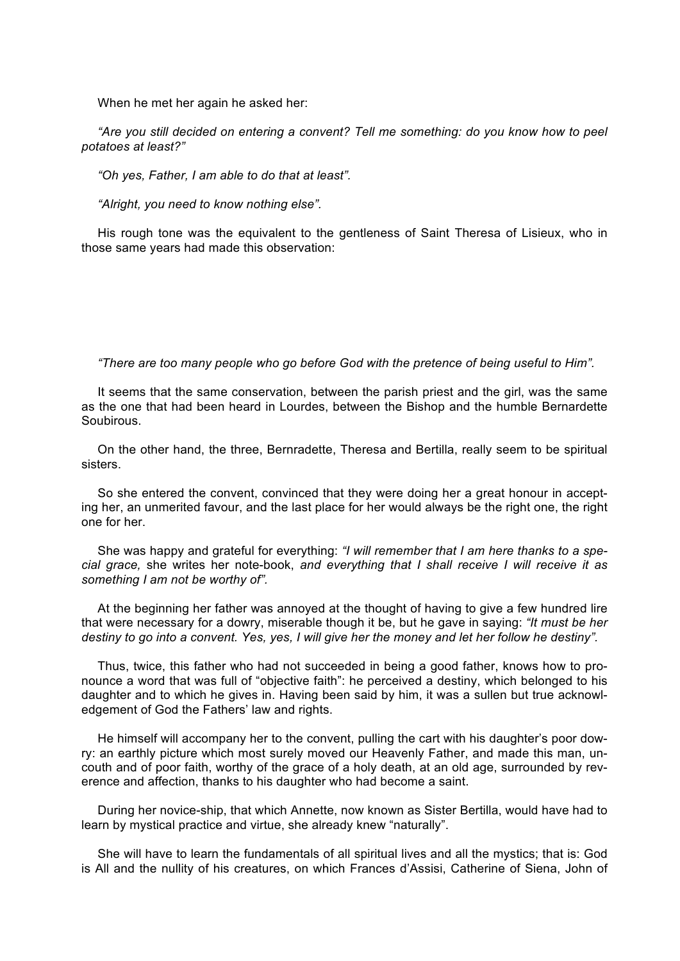When he met her again he asked her:

*"Are you still decided on entering a convent? Tell me something: do you know how to peel potatoes at least?"*

*"Oh yes, Father, I am able to do that at least".*

*"Alright, you need to know nothing else".*

His rough tone was the equivalent to the gentleness of Saint Theresa of Lisieux, who in those same years had made this observation:

*"There are too many people who go before God with the pretence of being useful to Him".*

It seems that the same conservation, between the parish priest and the girl, was the same as the one that had been heard in Lourdes, between the Bishop and the humble Bernardette Soubirous.

On the other hand, the three, Bernradette, Theresa and Bertilla, really seem to be spiritual sisters.

So she entered the convent, convinced that they were doing her a great honour in accepting her, an unmerited favour, and the last place for her would always be the right one, the right one for her.

She was happy and grateful for everything: *"I will remember that I am here thanks to a special grace,* she writes her note-book, *and everything that I shall receive I will receive it as something I am not be worthy of".*

At the beginning her father was annoyed at the thought of having to give a few hundred lire that were necessary for a dowry, miserable though it be, but he gave in saying: *"It must be her destiny to go into a convent. Yes, yes, I will give her the money and let her follow he destiny".* 

Thus, twice, this father who had not succeeded in being a good father, knows how to pronounce a word that was full of "objective faith": he perceived a destiny, which belonged to his daughter and to which he gives in. Having been said by him, it was a sullen but true acknowledgement of God the Fathers' law and rights.

He himself will accompany her to the convent, pulling the cart with his daughter's poor dowry: an earthly picture which most surely moved our Heavenly Father, and made this man, uncouth and of poor faith, worthy of the grace of a holy death, at an old age, surrounded by reverence and affection, thanks to his daughter who had become a saint.

During her novice-ship, that which Annette, now known as Sister Bertilla, would have had to learn by mystical practice and virtue, she already knew "naturally".

She will have to learn the fundamentals of all spiritual lives and all the mystics; that is: God is All and the nullity of his creatures, on which Frances d'Assisi, Catherine of Siena, John of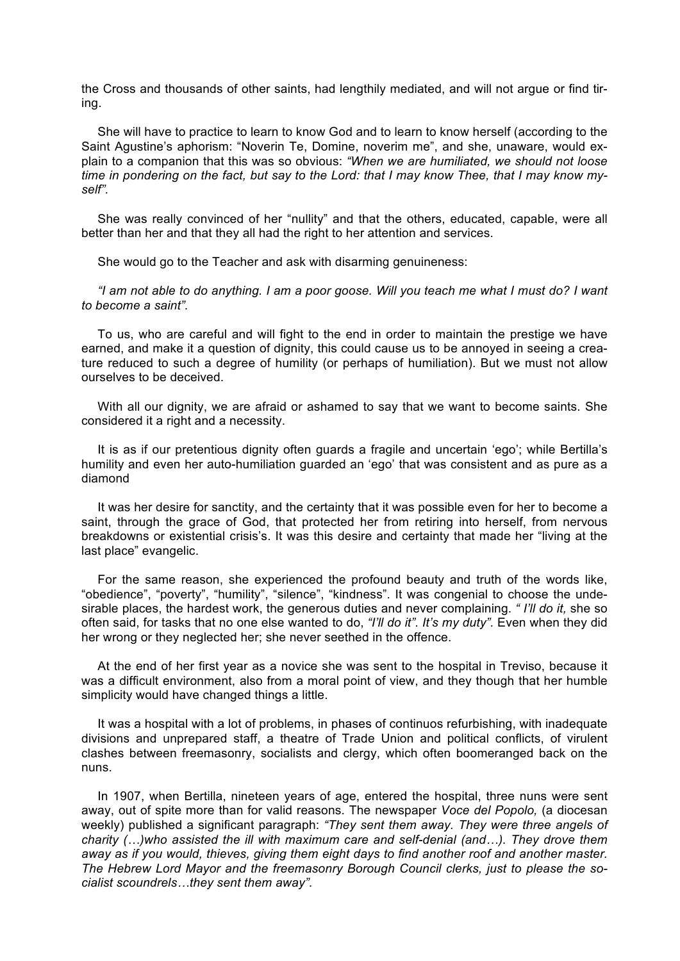the Cross and thousands of other saints, had lengthily mediated, and will not argue or find tiring.

She will have to practice to learn to know God and to learn to know herself (according to the Saint Agustine's aphorism: "Noverin Te, Domine, noverim me", and she, unaware, would explain to a companion that this was so obvious: *"When we are humiliated, we should not loose time in pondering on the fact, but say to the Lord: that I may know Thee, that I may know myself".*

She was really convinced of her "nullity" and that the others, educated, capable, were all better than her and that they all had the right to her attention and services.

She would go to the Teacher and ask with disarming genuineness:

*"I am not able to do anything. I am a poor goose. Will you teach me what I must do? I want to become a saint".*

To us, who are careful and will fight to the end in order to maintain the prestige we have earned, and make it a question of dignity, this could cause us to be annoyed in seeing a creature reduced to such a degree of humility (or perhaps of humiliation). But we must not allow ourselves to be deceived.

With all our dignity, we are afraid or ashamed to say that we want to become saints. She considered it a right and a necessity.

It is as if our pretentious dignity often guards a fragile and uncertain 'ego'; while Bertilla's humility and even her auto-humiliation guarded an 'ego' that was consistent and as pure as a diamond

It was her desire for sanctity, and the certainty that it was possible even for her to become a saint, through the grace of God, that protected her from retiring into herself, from nervous breakdowns or existential crisis's. It was this desire and certainty that made her "living at the last place" evangelic.

For the same reason, she experienced the profound beauty and truth of the words like, "obedience", "poverty", "humility", "silence", "kindness". It was congenial to choose the undesirable places, the hardest work, the generous duties and never complaining. *" I'll do it,* she so often said, for tasks that no one else wanted to do, *"I'll do it". It's my duty".* Even when they did her wrong or they neglected her; she never seethed in the offence.

At the end of her first year as a novice she was sent to the hospital in Treviso, because it was a difficult environment, also from a moral point of view, and they though that her humble simplicity would have changed things a little.

It was a hospital with a lot of problems, in phases of continuos refurbishing, with inadequate divisions and unprepared staff, a theatre of Trade Union and political conflicts, of virulent clashes between freemasonry, socialists and clergy, which often boomeranged back on the nuns.

In 1907, when Bertilla, nineteen years of age, entered the hospital, three nuns were sent away, out of spite more than for valid reasons. The newspaper *Voce del Popolo,* (a diocesan weekly) published a significant paragraph: *"They sent them away. They were three angels of charity (…)who assisted the ill with maximum care and self-denial (and…). They drove them away as if you would, thieves, giving them eight days to find another roof and another master. The Hebrew Lord Mayor and the freemasonry Borough Council clerks, just to please the socialist scoundrels…they sent them away".*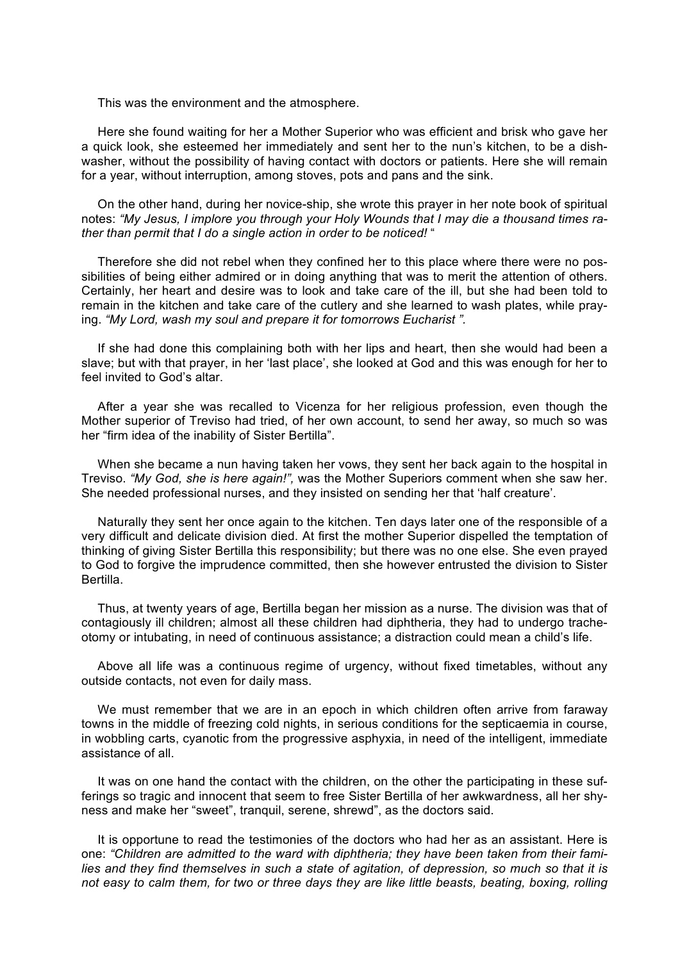This was the environment and the atmosphere.

Here she found waiting for her a Mother Superior who was efficient and brisk who gave her a quick look, she esteemed her immediately and sent her to the nun's kitchen, to be a dishwasher, without the possibility of having contact with doctors or patients. Here she will remain for a year, without interruption, among stoves, pots and pans and the sink.

On the other hand, during her novice-ship, she wrote this prayer in her note book of spiritual notes: *"My Jesus, I implore you through your Holy Wounds that I may die a thousand times rather than permit that I do a single action in order to be noticed!* "

Therefore she did not rebel when they confined her to this place where there were no possibilities of being either admired or in doing anything that was to merit the attention of others. Certainly, her heart and desire was to look and take care of the ill, but she had been told to remain in the kitchen and take care of the cutlery and she learned to wash plates, while praying. *"My Lord, wash my soul and prepare it for tomorrows Eucharist ".*

If she had done this complaining both with her lips and heart, then she would had been a slave; but with that prayer, in her 'last place', she looked at God and this was enough for her to feel invited to God's altar.

After a year she was recalled to Vicenza for her religious profession, even though the Mother superior of Treviso had tried, of her own account, to send her away, so much so was her "firm idea of the inability of Sister Bertilla".

When she became a nun having taken her vows, they sent her back again to the hospital in Treviso. *"My God, she is here again!",* was the Mother Superiors comment when she saw her. She needed professional nurses, and they insisted on sending her that 'half creature'.

Naturally they sent her once again to the kitchen. Ten days later one of the responsible of a very difficult and delicate division died. At first the mother Superior dispelled the temptation of thinking of giving Sister Bertilla this responsibility; but there was no one else. She even prayed to God to forgive the imprudence committed, then she however entrusted the division to Sister Bertilla.

Thus, at twenty years of age, Bertilla began her mission as a nurse. The division was that of contagiously ill children; almost all these children had diphtheria, they had to undergo tracheotomy or intubating, in need of continuous assistance; a distraction could mean a child's life.

Above all life was a continuous regime of urgency, without fixed timetables, without any outside contacts, not even for daily mass.

We must remember that we are in an epoch in which children often arrive from faraway towns in the middle of freezing cold nights, in serious conditions for the septicaemia in course, in wobbling carts, cyanotic from the progressive asphyxia, in need of the intelligent, immediate assistance of all.

It was on one hand the contact with the children, on the other the participating in these sufferings so tragic and innocent that seem to free Sister Bertilla of her awkwardness, all her shyness and make her "sweet", tranquil, serene, shrewd", as the doctors said.

It is opportune to read the testimonies of the doctors who had her as an assistant. Here is one: *"Children are admitted to the ward with diphtheria; they have been taken from their families and they find themselves in such a state of agitation, of depression, so much so that it is not easy to calm them, for two or three days they are like little beasts, beating, boxing, rolling*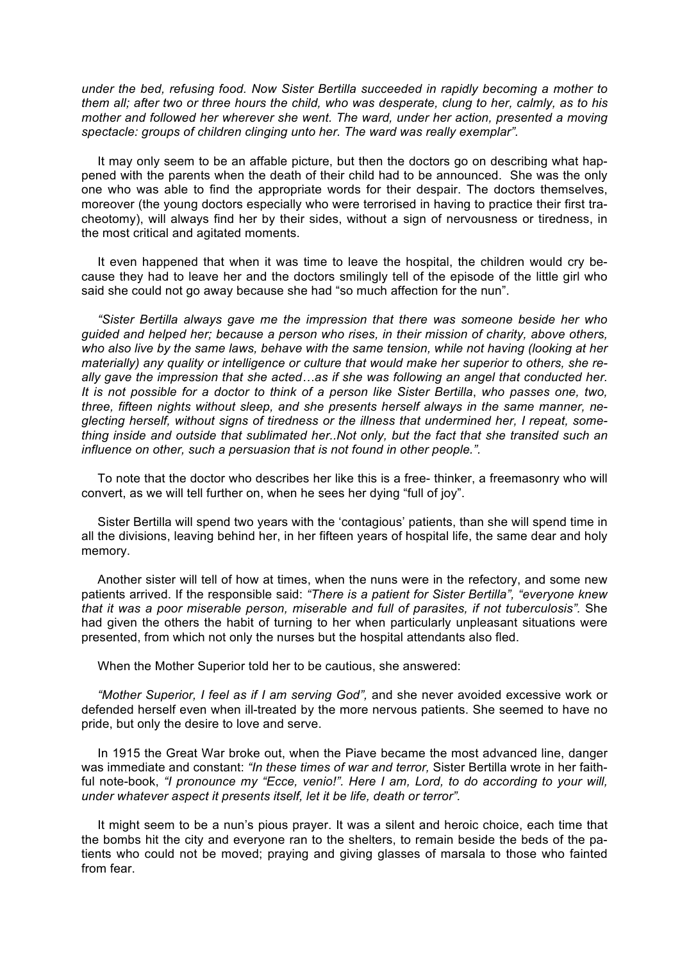*under the bed, refusing food. Now Sister Bertilla succeeded in rapidly becoming a mother to them all; after two or three hours the child, who was desperate, clung to her, calmly, as to his mother and followed her wherever she went. The ward, under her action, presented a moving spectacle: groups of children clinging unto her. The ward was really exemplar".*

It may only seem to be an affable picture, but then the doctors go on describing what happened with the parents when the death of their child had to be announced. She was the only one who was able to find the appropriate words for their despair. The doctors themselves, moreover (the young doctors especially who were terrorised in having to practice their first tracheotomy), will always find her by their sides, without a sign of nervousness or tiredness, in the most critical and agitated moments.

It even happened that when it was time to leave the hospital, the children would cry because they had to leave her and the doctors smilingly tell of the episode of the little girl who said she could not go away because she had "so much affection for the nun".

*"Sister Bertilla always gave me the impression that there was someone beside her who guided and helped her; because a person who rises, in their mission of charity, above others, who also live by the same laws, behave with the same tension, while not having (looking at her materially) any quality or intelligence or culture that would make her superior to others, she really gave the impression that she acted…as if she was following an angel that conducted her. It is not possible for a doctor to think of a person like Sister Bertilla*, *who passes one, two, three, fifteen nights without sleep, and she presents herself always in the same manner, neglecting herself, without signs of tiredness or the illness that undermined her, I repeat, something inside and outside that sublimated her..Not only, but the fact that she transited such an influence on other, such a persuasion that is not found in other people.".*

To note that the doctor who describes her like this is a free- thinker, a freemasonry who will convert, as we will tell further on, when he sees her dying "full of joy".

Sister Bertilla will spend two years with the 'contagious' patients, than she will spend time in all the divisions, leaving behind her, in her fifteen years of hospital life, the same dear and holy memory.

Another sister will tell of how at times, when the nuns were in the refectory, and some new patients arrived. If the responsible said: *"There is a patient for Sister Bertilla", "everyone knew that it was a poor miserable person, miserable and full of parasites, if not tuberculosis".* She had given the others the habit of turning to her when particularly unpleasant situations were presented, from which not only the nurses but the hospital attendants also fled.

When the Mother Superior told her to be cautious, she answered:

*"Mother Superior, I feel as if I am serving God",* and she never avoided excessive work or defended herself even when ill-treated by the more nervous patients. She seemed to have no pride, but only the desire to love and serve.

In 1915 the Great War broke out, when the Piave became the most advanced line, danger was immediate and constant: *"In these times of war and terror,* Sister Bertilla wrote in her faithful note-book, *"I pronounce my "Ecce, venio!". Here I am, Lord, to do according to your will, under whatever aspect it presents itself, let it be life, death or terror".*

It might seem to be a nun's pious prayer. It was a silent and heroic choice, each time that the bombs hit the city and everyone ran to the shelters, to remain beside the beds of the patients who could not be moved; praying and giving glasses of marsala to those who fainted from fear.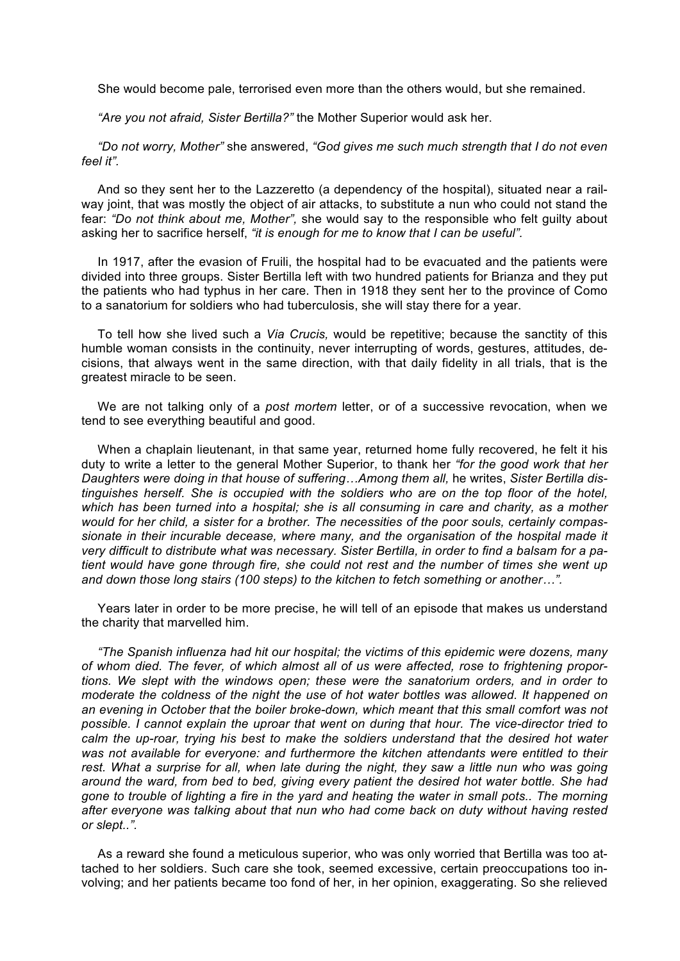She would become pale, terrorised even more than the others would, but she remained.

*"Are you not afraid, Sister Bertilla?"* the Mother Superior would ask her.

*"Do not worry, Mother"* she answered, *"God gives me such much strength that I do not even feel it".*

And so they sent her to the Lazzeretto (a dependency of the hospital), situated near a railway joint, that was mostly the object of air attacks, to substitute a nun who could not stand the fear: *"Do not think about me, Mother",* she would say to the responsible who felt guilty about asking her to sacrifice herself, *"it is enough for me to know that I can be useful".*

In 1917, after the evasion of Fruili, the hospital had to be evacuated and the patients were divided into three groups. Sister Bertilla left with two hundred patients for Brianza and they put the patients who had typhus in her care. Then in 1918 they sent her to the province of Como to a sanatorium for soldiers who had tuberculosis, she will stay there for a year.

To tell how she lived such a *Via Crucis,* would be repetitive; because the sanctity of this humble woman consists in the continuity, never interrupting of words, gestures, attitudes, decisions, that always went in the same direction, with that daily fidelity in all trials, that is the greatest miracle to be seen.

We are not talking only of a *post mortem* letter, or of a successive revocation, when we tend to see everything beautiful and good.

When a chaplain lieutenant, in that same year, returned home fully recovered, he felt it his duty to write a letter to the general Mother Superior, to thank her *"for the good work that her Daughters were doing in that house of suffering…Among them all,* he writes, *Sister Bertilla distinguishes herself. She is occupied with the soldiers who are on the top floor of the hotel, which has been turned into a hospital; she is all consuming in care and charity, as a mother would for her child, a sister for a brother. The necessities of the poor souls, certainly compassionate in their incurable decease, where many, and the organisation of the hospital made it very difficult to distribute what was necessary. Sister Bertilla, in order to find a balsam for a patient would have gone through fire, she could not rest and the number of times she went up and down those long stairs (100 steps) to the kitchen to fetch something or another…".*

Years later in order to be more precise, he will tell of an episode that makes us understand the charity that marvelled him.

*"The Spanish influenza had hit our hospital; the victims of this epidemic were dozens, many of whom died. The fever, of which almost all of us were affected, rose to frightening proportions. We slept with the windows open; these were the sanatorium orders, and in order to moderate the coldness of the night the use of hot water bottles was allowed. It happened on an evening in October that the boiler broke-down, which meant that this small comfort was not possible. I cannot explain the uproar that went on during that hour. The vice-director tried to calm the up-roar, trying his best to make the soldiers understand that the desired hot water was not available for everyone: and furthermore the kitchen attendants were entitled to their*  rest. What a surprise for all, when late during the night, they saw a little nun who was going *around the ward, from bed to bed, giving every patient the desired hot water bottle. She had gone to trouble of lighting a fire in the yard and heating the water in small pots.. The morning after everyone was talking about that nun who had come back on duty without having rested or slept..".*

As a reward she found a meticulous superior, who was only worried that Bertilla was too attached to her soldiers. Such care she took, seemed excessive, certain preoccupations too involving; and her patients became too fond of her, in her opinion, exaggerating. So she relieved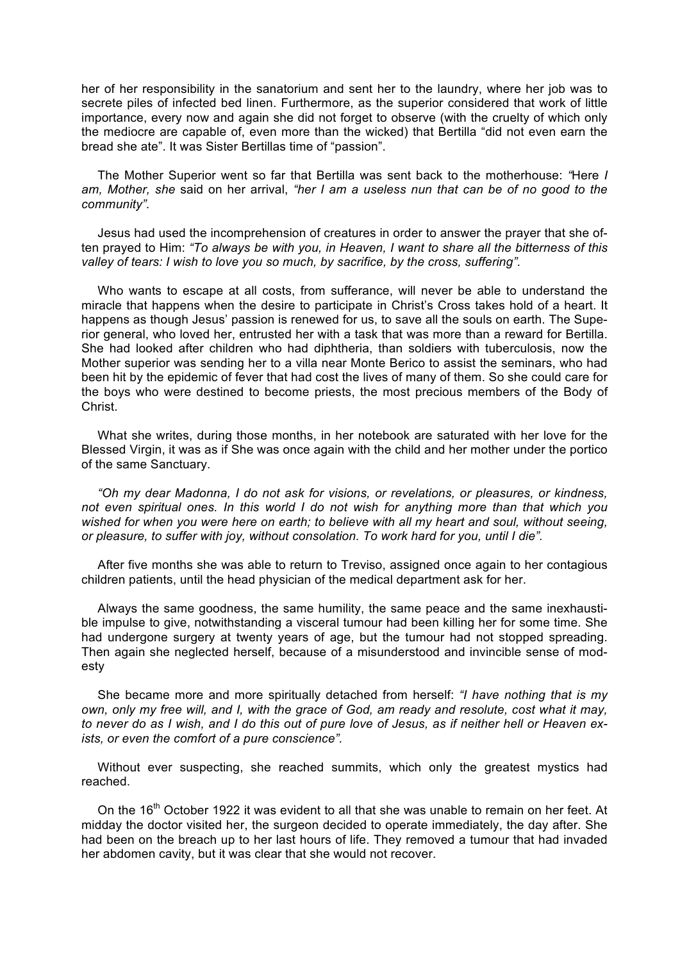her of her responsibility in the sanatorium and sent her to the laundry, where her job was to secrete piles of infected bed linen. Furthermore, as the superior considered that work of little importance, every now and again she did not forget to observe (with the cruelty of which only the mediocre are capable of, even more than the wicked) that Bertilla "did not even earn the bread she ate". It was Sister Bertillas time of "passion".

The Mother Superior went so far that Bertilla was sent back to the motherhouse: *"*Here *I am, Mother, she* said on her arrival, *"her I am a useless nun that can be of no good to the community".*

Jesus had used the incomprehension of creatures in order to answer the prayer that she often prayed to Him: *"To always be with you, in Heaven, I want to share all the bitterness of this valley of tears: I wish to love you so much, by sacrifice, by the cross, suffering".*

Who wants to escape at all costs, from sufferance, will never be able to understand the miracle that happens when the desire to participate in Christ's Cross takes hold of a heart. It happens as though Jesus' passion is renewed for us, to save all the souls on earth. The Superior general, who loved her, entrusted her with a task that was more than a reward for Bertilla. She had looked after children who had diphtheria, than soldiers with tuberculosis, now the Mother superior was sending her to a villa near Monte Berico to assist the seminars, who had been hit by the epidemic of fever that had cost the lives of many of them. So she could care for the boys who were destined to become priests, the most precious members of the Body of Christ.

What she writes, during those months, in her notebook are saturated with her love for the Blessed Virgin, it was as if She was once again with the child and her mother under the portico of the same Sanctuary.

*"Oh my dear Madonna, I do not ask for visions, or revelations, or pleasures, or kindness, not even spiritual ones. In this world I do not wish for anything more than that which you wished for when you were here on earth; to believe with all my heart and soul, without seeing, or pleasure, to suffer with joy, without consolation. To work hard for you, until I die".*

After five months she was able to return to Treviso, assigned once again to her contagious children patients, until the head physician of the medical department ask for her.

Always the same goodness, the same humility, the same peace and the same inexhaustible impulse to give, notwithstanding a visceral tumour had been killing her for some time. She had undergone surgery at twenty years of age, but the tumour had not stopped spreading. Then again she neglected herself, because of a misunderstood and invincible sense of modesty

She became more and more spiritually detached from herself: *"I have nothing that is my own, only my free will, and I, with the grace of God, am ready and resolute, cost what it may, to never do as I wish, and I do this out of pure love of Jesus, as if neither hell or Heaven exists, or even the comfort of a pure conscience".*

Without ever suspecting, she reached summits, which only the greatest mystics had reached.

On the 16<sup>th</sup> October 1922 it was evident to all that she was unable to remain on her feet. At midday the doctor visited her, the surgeon decided to operate immediately, the day after. She had been on the breach up to her last hours of life. They removed a tumour that had invaded her abdomen cavity, but it was clear that she would not recover.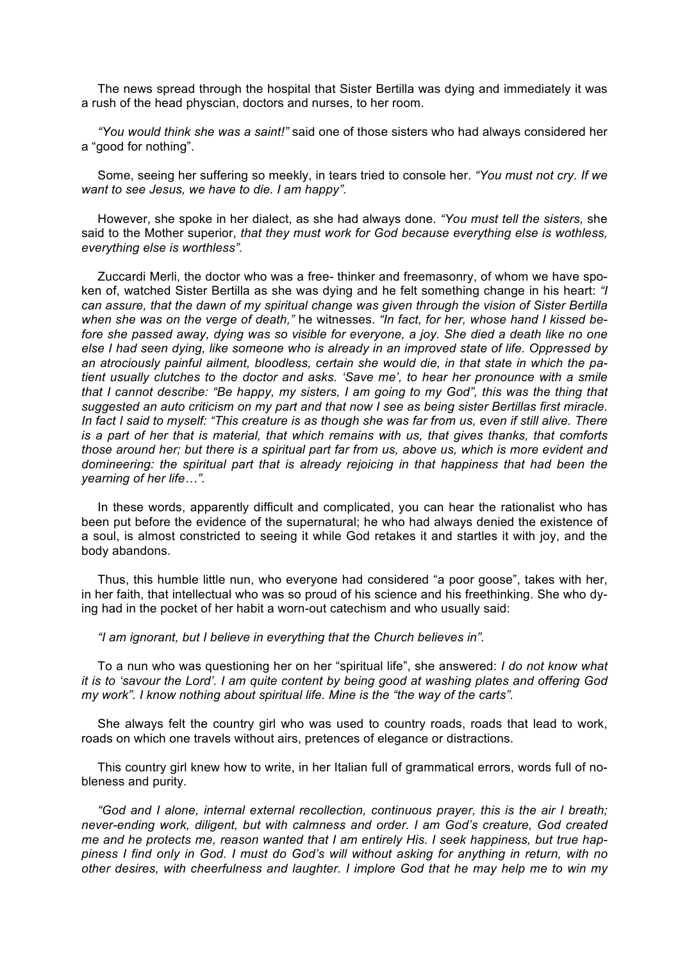The news spread through the hospital that Sister Bertilla was dying and immediately it was a rush of the head physcian, doctors and nurses, to her room.

*"You would think she was a saint!"* said one of those sisters who had always considered her a "good for nothing".

Some, seeing her suffering so meekly, in tears tried to console her. *"You must not cry. If we want to see Jesus, we have to die. I am happy".*

However, she spoke in her dialect, as she had always done. *"You must tell the sisters,* she said to the Mother superior, *that they must work for God because everything else is wothless, everything else is worthless".*

Zuccardi Merli, the doctor who was a free- thinker and freemasonry, of whom we have spoken of, watched Sister Bertilla as she was dying and he felt something change in his heart: *"I can assure, that the dawn of my spiritual change was given through the vision of Sister Bertilla when she was on the verge of death,"* he witnesses. *"In fact, for her, whose hand I kissed before she passed away, dying was so visible for everyone, a joy. She died a death like no one else I had seen dying, like someone who is already in an improved state of life. Oppressed by an atrociously painful ailment, bloodless, certain she would die, in that state in which the patient usually clutches to the doctor and asks. 'Save me', to hear her pronounce with a smile that I cannot describe: "Be happy, my sisters, I am going to my God", this was the thing that suggested an auto criticism on my part and that now I see as being sister Bertillas first miracle. In fact I said to myself: "This creature is as though she was far from us, even if still alive. There is a part of her that is material, that which remains with us, that gives thanks, that comforts those around her; but there is a spiritual part far from us, above us, which is more evident and domineering: the spiritual part that is already rejoicing in that happiness that had been the yearning of her life…".*

In these words, apparently difficult and complicated, you can hear the rationalist who has been put before the evidence of the supernatural; he who had always denied the existence of a soul, is almost constricted to seeing it while God retakes it and startles it with joy, and the body abandons.

Thus, this humble little nun, who everyone had considered "a poor goose", takes with her, in her faith, that intellectual who was so proud of his science and his freethinking. She who dying had in the pocket of her habit a worn-out catechism and who usually said:

*"I am ignorant, but I believe in everything that the Church believes in".*

To a nun who was questioning her on her "spiritual life", she answered: *I do not know what it is to 'savour the Lord'. I am quite content by being good at washing plates and offering God my work". I know nothing about spiritual life. Mine is the "the way of the carts".*

She always felt the country girl who was used to country roads, roads that lead to work, roads on which one travels without airs, pretences of elegance or distractions.

This country girl knew how to write, in her Italian full of grammatical errors, words full of nobleness and purity.

*"God and I alone, internal external recollection, continuous prayer, this is the air I breath; never-ending work, diligent, but with calmness and order. I am God's creature, God created me and he protects me, reason wanted that I am entirely His. I seek happiness, but true happiness I find only in God. I must do God's will without asking for anything in return, with no other desires, with cheerfulness and laughter. I implore God that he may help me to win my*